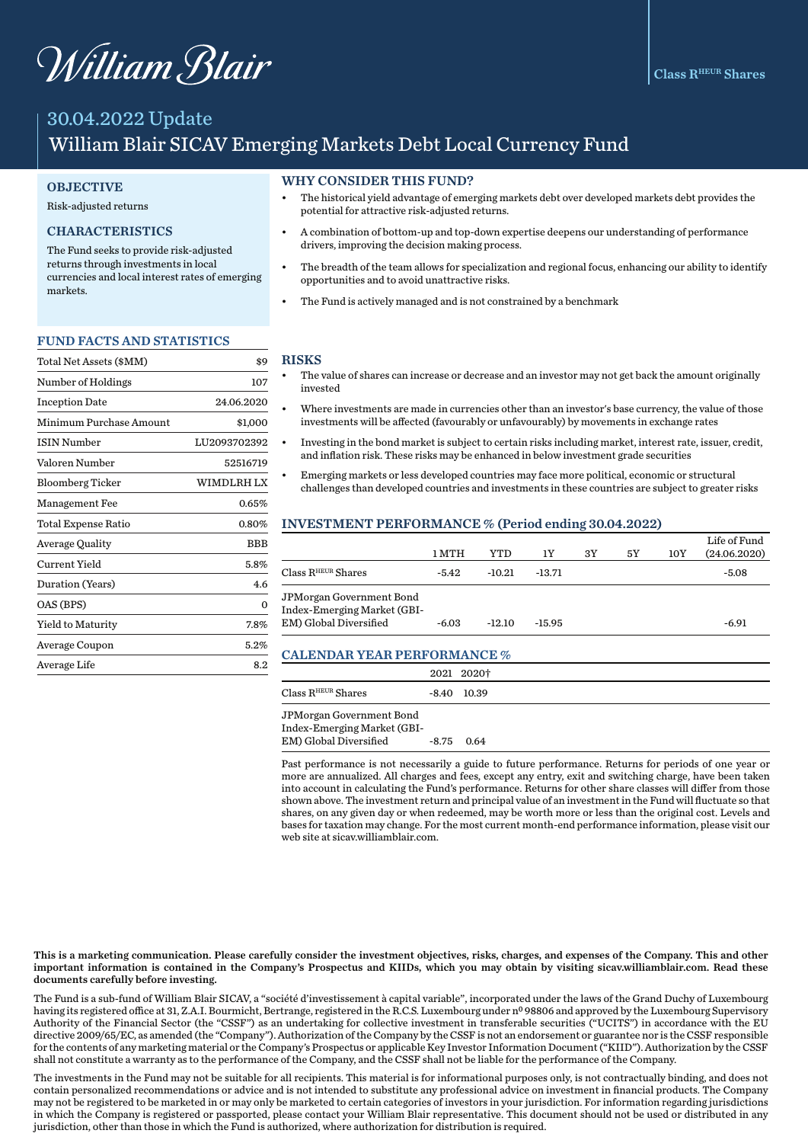# William Blair

# 30.04.2022 Update William Blair SICAV Emerging Markets Debt Local Currency Fund

#### **OBJECTIVE**

#### Risk-adjusted returns

## CHARACTERISTICS

The Fund seeks to provide risk-adjusted returns through investments in local currencies and local interest rates of emerging markets.

#### FUND FACTS AND STATISTICS

| Total Net Assets (\$MM) | \$9          |
|-------------------------|--------------|
| Number of Holdings      | 107          |
| <b>Inception Date</b>   | 24.06.2020   |
| Minimum Purchase Amount | \$1,000      |
| <b>ISIN Number</b>      | LU2093702392 |
| Valoren Number          | 52516719     |
| <b>Bloomberg Ticker</b> | WIMDLRH LX   |
| Management Fee          | $0.65\%$     |
| Total Expense Ratio     | 0.80%        |
| <b>Average Quality</b>  | BBB          |
| Current Yield           | 5.8%         |
| Duration (Years)        | 4.6          |
| OAS (BPS)               | 0            |
| Yield to Maturity       | 7.8%         |
| Average Coupon          | $5.2\%$      |
| Average Life            | 8.2          |

#### WHY CONSIDER THIS FUND?

- The historical yield advantage of emerging markets debt over developed markets debt provides the potential for attractive risk-adjusted returns.
- A combination of bottom-up and top-down expertise deepens our understanding of performance drivers, improving the decision making process.
- The breadth of the team allows for specialization and regional focus, enhancing our ability to identify opportunities and to avoid unattractive risks.
- The Fund is actively managed and is not constrained by a benchmark

#### RISKS

- The value of shares can increase or decrease and an investor may not get back the amount originally invested
- Where investments are made in currencies other than an investor's base currency, the value of those investments will be affected (favourably or unfavourably) by movements in exchange rates
- Investing in the bond market is subject to certain risks including market, interest rate, issuer, credit, and inflation risk. These risks may be enhanced in below investment grade securities
- Emerging markets or less developed countries may face more political, economic or structural challenges than developed countries and investments in these countries are subject to greater risks

#### INVESTMENT PERFORMANCE % (Period ending 30.04.2022)

|                                                                                   | 1 MTH   | YTD      | 1Y       | 3Y | 5Υ | 10Y | Life of Fund<br>(24.06.2020) |
|-----------------------------------------------------------------------------------|---------|----------|----------|----|----|-----|------------------------------|
| Class R <sup>HEUR</sup> Shares                                                    | -5.42   | $-10.21$ | $-13.71$ |    |    |     | $-5.08$                      |
| JPMorgan Government Bond<br>Index-Emerging Market (GBI-<br>EM) Global Diversified | $-6.03$ | $-12.10$ | $-15.95$ |    |    |     | $-6.91$                      |

#### CALENDAR YEAR PERFORMANCE %

|                               |              | 2021 2020†    |  |  |
|-------------------------------|--------------|---------------|--|--|
| $\rm Class\,R^{HEUR}\,Shares$ |              | $-8.40$ 10.39 |  |  |
| JPMorgan Government Bond      |              |               |  |  |
| Index-Emerging Market (GBI-   |              |               |  |  |
| EM) Global Diversified        | $-8.75$ 0.64 |               |  |  |

Past performance is not necessarily a guide to future performance. Returns for periods of one year or more are annualized. All charges and fees, except any entry, exit and switching charge, have been taken into account in calculating the Fund's performance. Returns for other share classes will differ from those shown above. The investment return and principal value of an investment in the Fund will fluctuate so that shares, on any given day or when redeemed, may be worth more or less than the original cost. Levels and bases for taxation may change. For the most current month-end performance information, please visit our web site at sicav.williamblair.com.

This is a marketing communication. Please carefully consider the investment objectives, risks, charges, and expenses of the Company. This and other important information is contained in the Company's Prospectus and KIIDs, which you may obtain by visiting sicav.williamblair.com. Read these documents carefully before investing.

The Fund is a sub-fund of William Blair SICAV, a "société d'investissement à capital variable", incorporated under the laws of the Grand Duchy of Luxembourg having its registered office at 31, Z.A.I. Bourmicht, Bertrange, registered in the R.C.S. Luxembourg under nº 98806 and approved by the Luxembourg Supervisory Authority of the Financial Sector (the "CSSF") as an undertaking for collective investment in transferable securities ("UCITS") in accordance with the EU directive 2009/65/EC, as amended (the "Company"). Authorization of the Company by the CSSF is not an endorsement or guarantee nor is the CSSF responsible for the contents of any marketing material or the Company's Prospectus or applicable Key Investor Information Document ("KIID"). Authorization by the CSSF shall not constitute a warranty as to the performance of the Company, and the CSSF shall not be liable for the performance of the Company.

The investments in the Fund may not be suitable for all recipients. This material is for informational purposes only, is not contractually binding, and does not contain personalized recommendations or advice and is not intended to substitute any professional advice on investment in financial products. The Company may not be registered to be marketed in or may only be marketed to certain categories of investors in your jurisdiction. For information regarding jurisdictions in which the Company is registered or passported, please contact your William Blair representative. This document should not be used or distributed in any jurisdiction, other than those in which the Fund is authorized, where authorization for distribution is required.